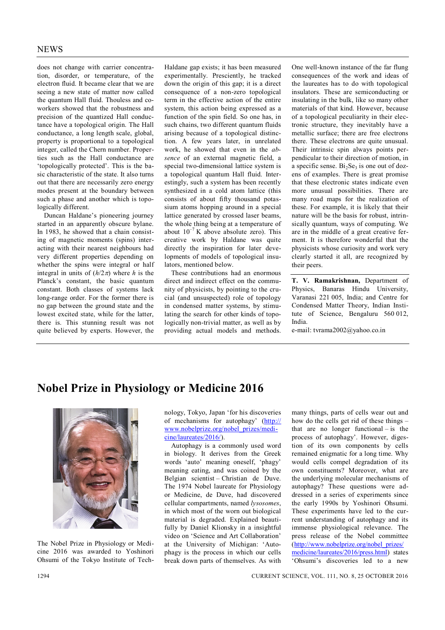does not change with carrier concentration, disorder, or temperature, of the electron fluid. It became clear that we are seeing a new state of matter now called the quantum Hall fluid. Thouless and coworkers showed that the robustness and precision of the quantized Hall conductance have a topological origin. The Hall conductance, a long length scale, global, property is proportional to a topological integer, called the Chern number. Properties such as the Hall conductance are 'topologically protected'. This is the basic characteristic of the state. It also turns out that there are necessarily zero energy modes present at the boundary between such a phase and another which is topologically different.

Duncan Haldane's pioneering journey started in an apparently obscure bylane. In 1983, he showed that a chain consisting of magnetic moments (spins) interacting with their nearest neighbours had very different properties depending on whether the spins were integral or half integral in units of  $(h/2\pi)$  where *h* is the Planck's constant, the basic quantum constant. Both classes of systems lack long-range order. For the former there is no gap between the ground state and the lowest excited state, while for the latter, there is. This stunning result was not quite believed by experts. However, the Haldane gap exists; it has been measured experimentally. Presciently, he tracked down the origin of this gap; it is a direct consequence of a non-zero topological term in the effective action of the entire system, this action being expressed as a function of the spin field. So one has, in such chains, two different quantum fluids arising because of a topological distinction. A few years later, in unrelated work, he showed that even in the *absence* of an external magnetic field, a special two-dimensional lattice system is a topological quantum Hall fluid. Interestingly, such a system has been recently synthesized in a cold atom lattice (this consists of about fifty thousand potassium atoms hopping around in a special lattice generated by crossed laser beams, the whole thing being at a temperature of about  $10^{-7}$  K above absolute zero). This creative work by Haldane was quite directly the inspiration for later developments of models of topological insulators, mentioned below.

These contributions had an enormous direct and indirect effect on the community of physicists, by pointing to the crucial (and unsuspected) role of topology in condensed matter systems, by stimulating the search for other kinds of topologically non-trivial matter, as well as by providing actual models and methods. One well-known instance of the far flung consequences of the work and ideas of the laureates has to do with topological insulators. These are semiconducting or insulating in the bulk, like so many other materials of that kind. However, because of a topological peculiarity in their electronic structure, they inevitably have a metallic surface; there are free electrons there. These electrons are quite unusual. Their intrinsic spin always points perpendicular to their direction of motion, in a specific sense. Bi<sub>2</sub>Se<sub>3</sub> is one out of dozens of examples. There is great promise that these electronic states indicate even more unusual possibilities. There are many road maps for the realization of these. For example, it is likely that their nature will be the basis for robust, intrinsically quantum, ways of computing. We are in the middle of a great creative ferment. It is therefore wonderful that the physicists whose curiosity and work very clearly started it all, are recognized by their peers.

**T. V. Ramakrishnan,** Department of Physics, Banaras Hindu University, Varanasi 221 005, India; and Centre for Condensed Matter Theory, Indian Institute of Science, Bengaluru 560 012, India.

e-mail: tvrama2002@yahoo.co.in

## **Nobel Prize in Physiology or Medicine 2016**



The Nobel Prize in Physiology or Medicine 2016 was awarded to Yoshinori Ohsumi of the Tokyo Institute of Technology, Tokyo, Japan 'for his discoveries of mechanisms for autophagy' (http:// www.nobelprize.org/nobel\_prizes/medicine/laureates/2016/).

Autophagy is a commonly used word in biology. It derives from the Greek words 'auto' meaning oneself, 'phagy' meaning eating, and was coined by the Belgian scientist – Christian de Duve. The 1974 Nobel laureate for Physiology or Medicine, de Duve, had discovered cellular compartments, named *lysosomes*, in which most of the worn out biological material is degraded. Explained beautifully by Daniel Klionsky in a insightful video on 'Science and Art Collaboration' at the University of Michigan: 'Autophagy is the process in which our cells break down parts of themselves. As with many things, parts of cells wear out and how do the cells get rid of these things – that are no longer functional  $-$  is the process of autophagy'. However, digestion of its own components by cells remained enigmatic for a long time. Why would cells compel degradation of its own constituents? Moreover, what are the underlying molecular mechanisms of autophagy? These questions were addressed in a series of experiments since the early 1990s by Yoshinori Ohsumi. These experiments have led to the current understanding of autophagy and its immense physiological relevance. The press release of the Nobel committee (http://www.nobelprize.org/nobel\_prizes/ medicine/laureates/2016/press.html) states 'Ohsumi's discoveries led to a new